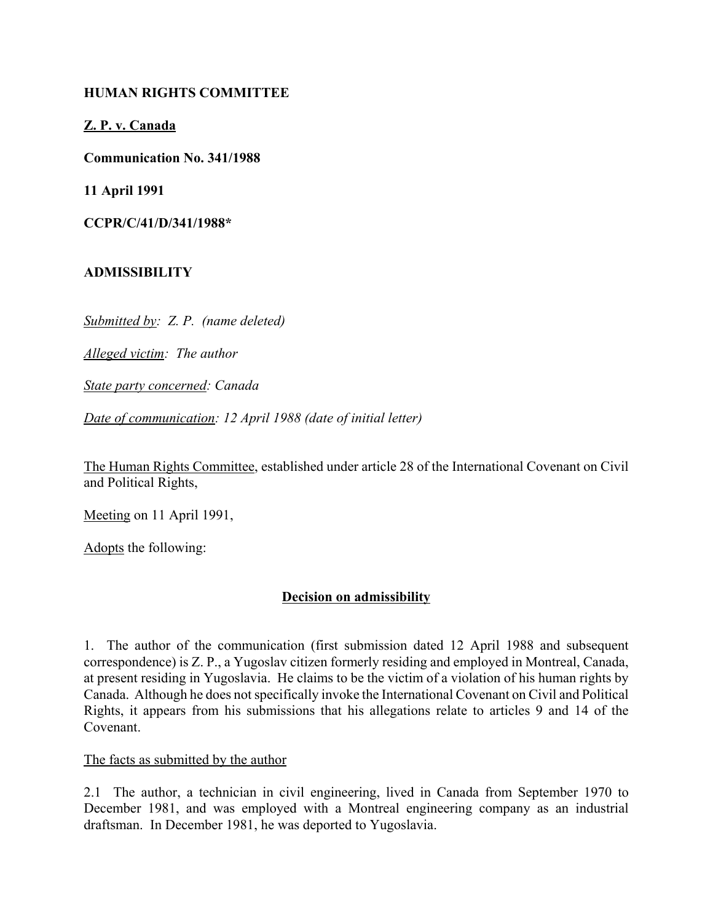## **HUMAN RIGHTS COMMITTEE**

**Z. P. v. Canada**

**Communication No. 341/1988**

**11 April 1991**

**CCPR/C/41/D/341/1988\***

### **ADMISSIBILITY**

*Submitted by: Z. P. (name deleted)*

*Alleged victim: The author*

*State party concerned: Canada*

*Date of communication: 12 April 1988 (date of initial letter)*

The Human Rights Committee, established under article 28 of the International Covenant on Civil and Political Rights,

Meeting on 11 April 1991,

Adopts the following:

# **Decision on admissibility**

1. The author of the communication (first submission dated 12 April 1988 and subsequent correspondence) is Z. P., a Yugoslav citizen formerly residing and employed in Montreal, Canada, at present residing in Yugoslavia. He claims to be the victim of a violation of his human rights by Canada. Although he does not specifically invoke the International Covenant on Civil and Political Rights, it appears from his submissions that his allegations relate to articles 9 and 14 of the Covenant.

#### The facts as submitted by the author

2.1 The author, a technician in civil engineering, lived in Canada from September 1970 to December 1981, and was employed with a Montreal engineering company as an industrial draftsman. In December 1981, he was deported to Yugoslavia.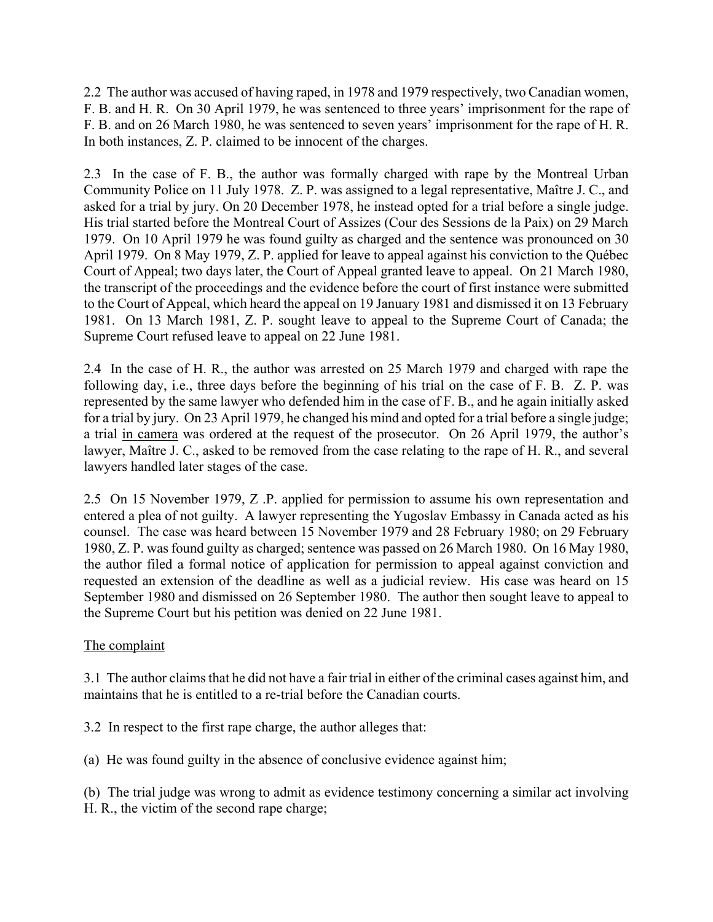2.2 The author was accused of having raped, in 1978 and 1979 respectively, two Canadian women, F. B. and H. R. On 30 April 1979, he was sentenced to three years' imprisonment for the rape of F. B. and on 26 March 1980, he was sentenced to seven years' imprisonment for the rape of H. R. In both instances, Z. P. claimed to be innocent of the charges.

2.3 In the case of F. B., the author was formally charged with rape by the Montreal Urban Community Police on 11 July 1978. Z. P. was assigned to a legal representative, Maître J. C., and asked for a trial by jury. On 20 December 1978, he instead opted for a trial before a single judge. His trial started before the Montreal Court of Assizes (Cour des Sessions de la Paix) on 29 March 1979. On 10 April 1979 he was found guilty as charged and the sentence was pronounced on 30 April 1979. On 8 May 1979, Z. P. applied for leave to appeal against his conviction to the Québec Court of Appeal; two days later, the Court of Appeal granted leave to appeal. On 21 March 1980, the transcript of the proceedings and the evidence before the court of first instance were submitted to the Court of Appeal, which heard the appeal on 19 January 1981 and dismissed it on 13 February 1981. On 13 March 1981, Z. P. sought leave to appeal to the Supreme Court of Canada; the Supreme Court refused leave to appeal on 22 June 1981.

2.4 In the case of H. R., the author was arrested on 25 March 1979 and charged with rape the following day, i.e., three days before the beginning of his trial on the case of F. B. Z. P. was represented by the same lawyer who defended him in the case of F. B., and he again initially asked for a trial by jury. On 23 April 1979, he changed his mind and opted for a trial before a single judge; a trial in camera was ordered at the request of the prosecutor. On 26 April 1979, the author's lawyer, Maître J. C., asked to be removed from the case relating to the rape of H. R., and several lawyers handled later stages of the case.

2.5 On 15 November 1979, Z .P. applied for permission to assume his own representation and entered a plea of not guilty. A lawyer representing the Yugoslav Embassy in Canada acted as his counsel. The case was heard between 15 November 1979 and 28 February 1980; on 29 February 1980, Z. P. was found guilty as charged; sentence was passed on 26 March 1980. On 16 May 1980, the author filed a formal notice of application for permission to appeal against conviction and requested an extension of the deadline as well as a judicial review. His case was heard on 15 September 1980 and dismissed on 26 September 1980. The author then sought leave to appeal to the Supreme Court but his petition was denied on 22 June 1981.

# The complaint

3.1 The author claims that he did not have a fair trial in either of the criminal cases against him, and maintains that he is entitled to a re-trial before the Canadian courts.

3.2 In respect to the first rape charge, the author alleges that:

(a) He was found guilty in the absence of conclusive evidence against him;

(b) The trial judge was wrong to admit as evidence testimony concerning a similar act involving H. R., the victim of the second rape charge;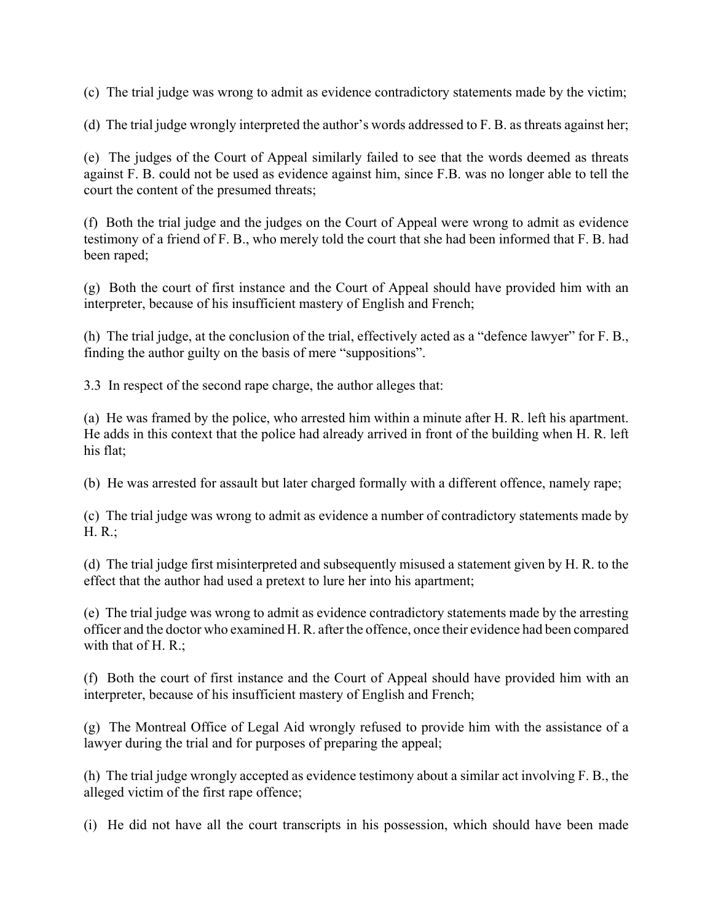(c) The trial judge was wrong to admit as evidence contradictory statements made by the victim;

(d) The trial judge wrongly interpreted the author's words addressed to  $F$ . B. as threats against her;

(e) The judges of the Court of Appeal similarly failed to see that the words deemed as threats against F. B. could not be used as evidence against him, since F.B. was no longer able to tell the court the content of the presumed threats;

(f) Both the trial judge and the judges on the Court of Appeal were wrong to admit as evidence testimony of a friend of F. B., who merely told the court that she had been informed that F. B. had been raped;

(g) Both the court of first instance and the Court of Appeal should have provided him with an interpreter, because of his insufficient mastery of English and French;

(h) The trial judge, at the conclusion of the trial, effectively acted as a "defence lawyer" for  $F. B.,$ finding the author guilty on the basis of mere "suppositions".

3.3 In respect of the second rape charge, the author alleges that:

(a) He was framed by the police, who arrested him within a minute after H. R. left his apartment. He adds in this context that the police had already arrived in front of the building when H. R. left his flat;

(b) He was arrested for assault but later charged formally with a different offence, namely rape;

(c) The trial judge was wrong to admit as evidence a number of contradictory statements made by H. R.;

(d) The trial judge first misinterpreted and subsequently misused a statement given by H. R. to the effect that the author had used a pretext to lure her into his apartment;

(e) The trial judge was wrong to admit as evidence contradictory statements made by the arresting officer and the doctor who examined H. R. after the offence, once their evidence had been compared with that of H. R.:

(f) Both the court of first instance and the Court of Appeal should have provided him with an interpreter, because of his insufficient mastery of English and French;

(g) The Montreal Office of Legal Aid wrongly refused to provide him with the assistance of a lawyer during the trial and for purposes of preparing the appeal;

(h) The trial judge wrongly accepted as evidence testimony about a similar act involving F. B., the alleged victim of the first rape offence;

(i) He did not have all the court transcripts in his possession, which should have been made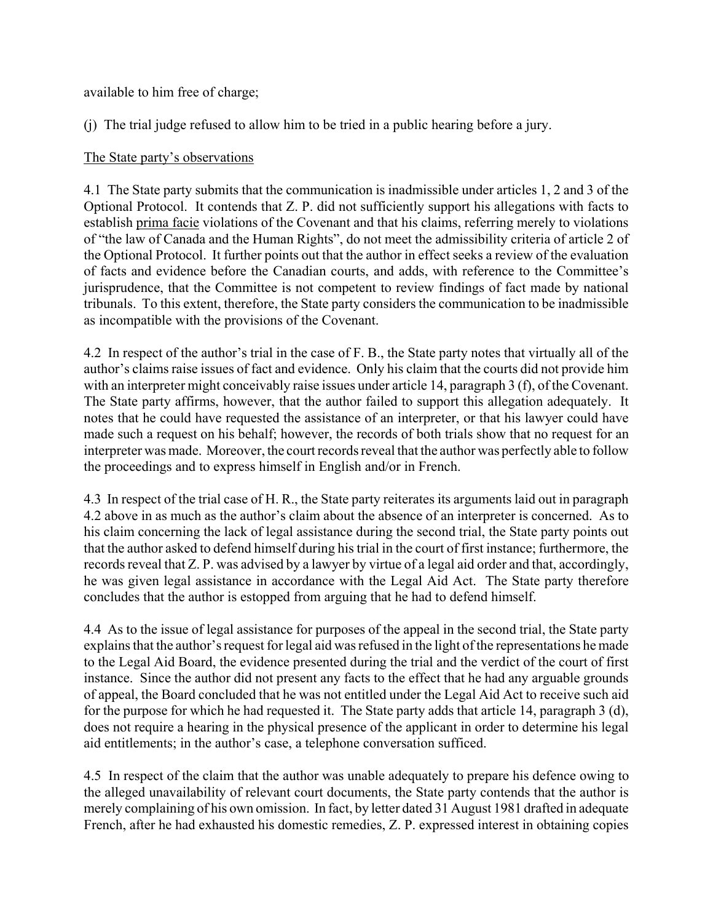available to him free of charge;

(j) The trial judge refused to allow him to be tried in a public hearing before a jury.

# The State party's observations

4.1 The State party submits that the communication is inadmissible under articles 1, 2 and 3 of the Optional Protocol. It contends that Z. P. did not sufficiently support his allegations with facts to establish prima facie violations of the Covenant and that his claims, referring merely to violations of "the law of Canada and the Human Rights", do not meet the admissibility criteria of article 2 of the Optional Protocol. It further points out that the author in effect seeks a review of the evaluation of facts and evidence before the Canadian courts, and adds, with reference to the Committee's jurisprudence, that the Committee is not competent to review findings of fact made by national tribunals. To this extent, therefore, the State party considers the communication to be inadmissible as incompatible with the provisions of the Covenant.

4.2 In respect of the author's trial in the case of F. B., the State party notes that virtually all of the author's claims raise issues of fact and evidence. Only his claim that the courts did not provide him with an interpreter might conceivably raise issues under article 14, paragraph 3 (f), of the Covenant. The State party affirms, however, that the author failed to support this allegation adequately. It notes that he could have requested the assistance of an interpreter, or that his lawyer could have made such a request on his behalf; however, the records of both trials show that no request for an interpreter was made. Moreover, the court records reveal that the author was perfectly able to follow the proceedings and to express himself in English and/or in French.

4.3 In respect of the trial case of H. R., the State party reiterates its arguments laid out in paragraph 4.2 above in as much as the author's claim about the absence of an interpreter is concerned. As to his claim concerning the lack of legal assistance during the second trial, the State party points out that the author asked to defend himself during his trial in the court of first instance; furthermore, the records reveal that Z. P. was advised by a lawyer by virtue of a legal aid order and that, accordingly, he was given legal assistance in accordance with the Legal Aid Act. The State party therefore concludes that the author is estopped from arguing that he had to defend himself.

4.4 As to the issue of legal assistance for purposes of the appeal in the second trial, the State party explains that the author's request for legal aid was refused in the light of the representations he made to the Legal Aid Board, the evidence presented during the trial and the verdict of the court of first instance. Since the author did not present any facts to the effect that he had any arguable grounds of appeal, the Board concluded that he was not entitled under the Legal Aid Act to receive such aid for the purpose for which he had requested it. The State party adds that article 14, paragraph 3 (d), does not require a hearing in the physical presence of the applicant in order to determine his legal aid entitlements; in the author's case, a telephone conversation sufficed.

4.5 In respect of the claim that the author was unable adequately to prepare his defence owing to the alleged unavailability of relevant court documents, the State party contends that the author is merely complaining of his own omission. In fact, by letter dated 31 August 1981 drafted in adequate French, after he had exhausted his domestic remedies, Z. P. expressed interest in obtaining copies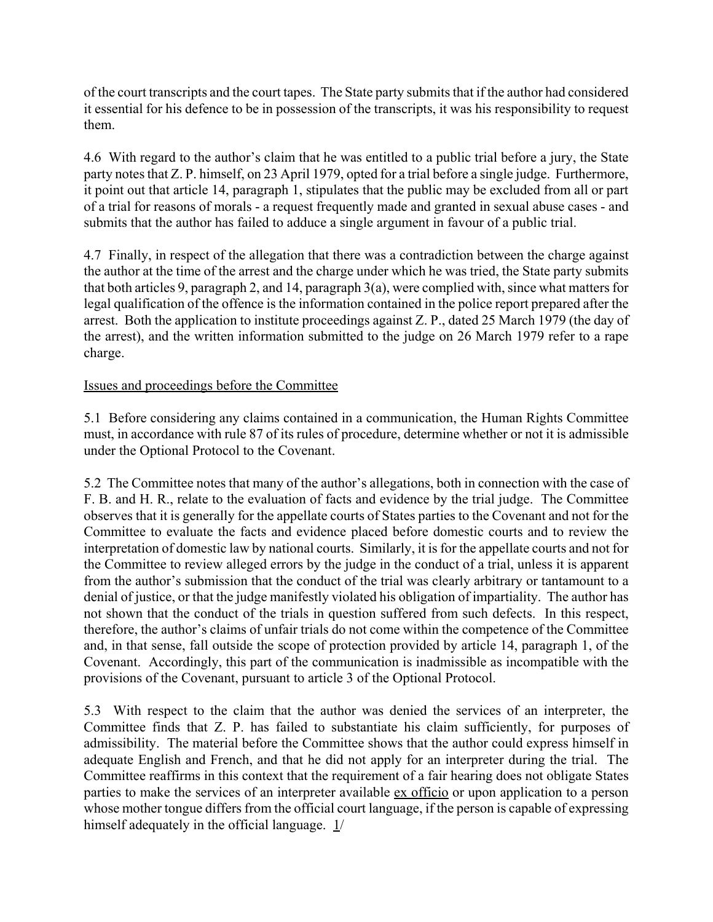of the court transcripts and the court tapes. The State party submits that if the author had considered it essential for his defence to be in possession of the transcripts, it was his responsibility to request them.

4.6 With regard to the author's claim that he was entitled to a public trial before a jury, the State party notes that Z. P. himself, on 23 April 1979, opted for a trial before a single judge. Furthermore, it point out that article 14, paragraph 1, stipulates that the public may be excluded from all or part of a trial for reasons of morals - a request frequently made and granted in sexual abuse cases - and submits that the author has failed to adduce a single argument in favour of a public trial.

4.7 Finally, in respect of the allegation that there was a contradiction between the charge against the author at the time of the arrest and the charge under which he was tried, the State party submits that both articles 9, paragraph 2, and 14, paragraph 3(a), were complied with, since what matters for legal qualification of the offence is the information contained in the police report prepared after the arrest. Both the application to institute proceedings against Z. P., dated 25 March 1979 (the day of the arrest), and the written information submitted to the judge on 26 March 1979 refer to a rape charge.

# Issues and proceedings before the Committee

5.1 Before considering any claims contained in a communication, the Human Rights Committee must, in accordance with rule 87 of its rules of procedure, determine whether or not it is admissible under the Optional Protocol to the Covenant.

5.2 The Committee notes that many of the author's allegations, both in connection with the case of F. B. and H. R., relate to the evaluation of facts and evidence by the trial judge. The Committee observes that it is generally for the appellate courts of States parties to the Covenant and not for the Committee to evaluate the facts and evidence placed before domestic courts and to review the interpretation of domestic law by national courts. Similarly, it is for the appellate courts and not for the Committee to review alleged errors by the judge in the conduct of a trial, unless it is apparent from the author's submission that the conduct of the trial was clearly arbitrary or tantamount to a denial of justice, or that the judge manifestly violated his obligation of impartiality. The author has not shown that the conduct of the trials in question suffered from such defects. In this respect, therefore, the author's claims of unfair trials do not come within the competence of the Committee and, in that sense, fall outside the scope of protection provided by article 14, paragraph 1, of the Covenant. Accordingly, this part of the communication is inadmissible as incompatible with the provisions of the Covenant, pursuant to article 3 of the Optional Protocol.

5.3 With respect to the claim that the author was denied the services of an interpreter, the Committee finds that Z. P. has failed to substantiate his claim sufficiently, for purposes of admissibility. The material before the Committee shows that the author could express himself in adequate English and French, and that he did not apply for an interpreter during the trial. The Committee reaffirms in this context that the requirement of a fair hearing does not obligate States parties to make the services of an interpreter available ex officio or upon application to a person whose mother tongue differs from the official court language, if the person is capable of expressing himself adequately in the official language.  $1/$